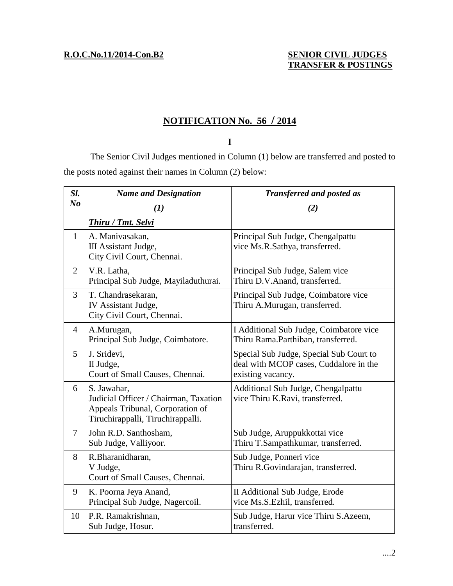# **SENIOR CIVIL JUDGES<br>TRANSFER & POSTINGS**

## **NOTIFICATION No. 56 / 2014**

### **I**

The Senior Civil Judges mentioned in Column (1) below are transferred and posted to the posts noted against their names in Column (2) below:

| Sl.            | <b>Name and Designation</b>                                                                                                   | <b>Transferred and posted as</b>                                                                       |
|----------------|-------------------------------------------------------------------------------------------------------------------------------|--------------------------------------------------------------------------------------------------------|
| N <sub>o</sub> | (1)                                                                                                                           | (2)                                                                                                    |
|                | <b>Thiru / Tmt. Selvi</b>                                                                                                     |                                                                                                        |
| $\mathbf{1}$   | A. Manivasakan,<br>III Assistant Judge,<br>City Civil Court, Chennai.                                                         | Principal Sub Judge, Chengalpattu<br>vice Ms.R.Sathya, transferred.                                    |
| 2              | V.R. Latha,<br>Principal Sub Judge, Mayiladuthurai.                                                                           | Principal Sub Judge, Salem vice<br>Thiru D.V.Anand, transferred.                                       |
| $\overline{3}$ | T. Chandrasekaran,<br>IV Assistant Judge,<br>City Civil Court, Chennai.                                                       | Principal Sub Judge, Coimbatore vice<br>Thiru A.Murugan, transferred.                                  |
| $\overline{4}$ | A.Murugan,<br>Principal Sub Judge, Coimbatore.                                                                                | I Additional Sub Judge, Coimbatore vice<br>Thiru Rama.Parthiban, transferred.                          |
| 5 <sup>5</sup> | J. Sridevi,<br>II Judge,<br>Court of Small Causes, Chennai.                                                                   | Special Sub Judge, Special Sub Court to<br>deal with MCOP cases, Cuddalore in the<br>existing vacancy. |
| 6              | S. Jawahar,<br>Judicial Officer / Chairman, Taxation<br>Appeals Tribunal, Corporation of<br>Tiruchirappalli, Tiruchirappalli. | Additional Sub Judge, Chengalpattu<br>vice Thiru K.Ravi, transferred.                                  |
| $\tau$         | John R.D. Santhosham,<br>Sub Judge, Valliyoor.                                                                                | Sub Judge, Aruppukkottai vice<br>Thiru T.Sampathkumar, transferred.                                    |
| 8              | R.Bharanidharan,<br>V Judge,<br>Court of Small Causes, Chennai.                                                               | Sub Judge, Ponneri vice<br>Thiru R.Govindarajan, transferred.                                          |
| 9              | K. Poorna Jeya Anand,<br>Principal Sub Judge, Nagercoil.                                                                      | II Additional Sub Judge, Erode<br>vice Ms.S.Ezhil, transferred.                                        |
| 10             | P.R. Ramakrishnan,<br>Sub Judge, Hosur.                                                                                       | Sub Judge, Harur vice Thiru S.Azeem,<br>transferred.                                                   |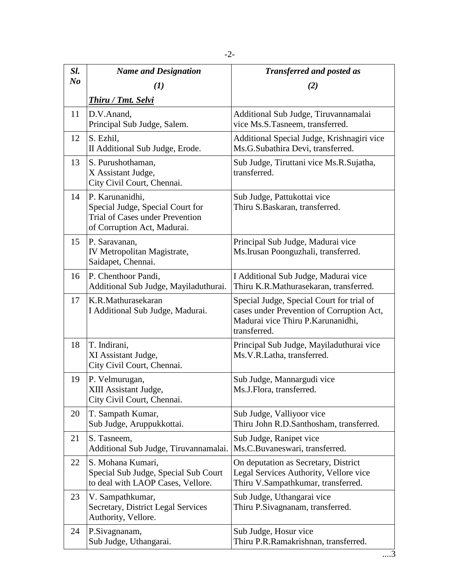| Sl.            | <b>Name and Designation</b>                                                                                                  | <b>Transferred and posted as</b>                                                                                                            |
|----------------|------------------------------------------------------------------------------------------------------------------------------|---------------------------------------------------------------------------------------------------------------------------------------------|
| N <sub>o</sub> | $\mathbf{U}$                                                                                                                 | (2)                                                                                                                                         |
|                | Thiru / Tmt. Selvi                                                                                                           |                                                                                                                                             |
| 11             | D.V.Anand,<br>Principal Sub Judge, Salem.                                                                                    | Additional Sub Judge, Tiruvannamalai<br>vice Ms.S.Tasneem, transferred.                                                                     |
| 12             | S. Ezhil,<br>II Additional Sub Judge, Erode.                                                                                 | Additional Special Judge, Krishnagiri vice<br>Ms.G.Subathira Devi, transferred.                                                             |
| 13             | S. Purushothaman,<br>X Assistant Judge,<br>City Civil Court, Chennai.                                                        | Sub Judge, Tiruttani vice Ms.R.Sujatha,<br>transferred.                                                                                     |
| 14             | P. Karunanidhi,<br>Special Judge, Special Court for<br><b>Trial of Cases under Prevention</b><br>of Corruption Act, Madurai. | Sub Judge, Pattukottai vice<br>Thiru S.Baskaran, transferred.                                                                               |
| 15             | P. Saravanan,<br>IV Metropolitan Magistrate,<br>Saidapet, Chennai.                                                           | Principal Sub Judge, Madurai vice<br>Ms. Irusan Poonguzhali, transferred.                                                                   |
| 16             | P. Chenthoor Pandi,<br>Additional Sub Judge, Mayiladuthurai.                                                                 | I Additional Sub Judge, Madurai vice<br>Thiru K.R.Mathurasekaran, transferred.                                                              |
| 17             | K.R.Mathurasekaran<br>I Additional Sub Judge, Madurai.                                                                       | Special Judge, Special Court for trial of<br>cases under Prevention of Corruption Act,<br>Madurai vice Thiru P.Karunanidhi,<br>transferred. |
| 18             | T. Indirani,<br>XI Assistant Judge,<br>City Civil Court, Chennai.                                                            | Principal Sub Judge, Mayiladuthurai vice<br>Ms.V.R.Latha, transferred.                                                                      |
| 19             | P. Velmurugan,<br>XIII Assistant Judge,<br>City Civil Court, Chennai.                                                        | Sub Judge, Mannargudi vice<br>Ms.J.Flora, transferred.                                                                                      |
| 20             | T. Sampath Kumar,<br>Sub Judge, Aruppukkottai.                                                                               | Sub Judge, Valliyoor vice<br>Thiru John R.D.Santhosham, transferred.                                                                        |
| 21             | S. Tasneem,<br>Additional Sub Judge, Tiruvannamalai.                                                                         | Sub Judge, Ranipet vice<br>Ms.C.Buvaneswari, transferred.                                                                                   |
| 22             | S. Mohana Kumari,<br>Special Sub Judge, Special Sub Court<br>to deal with LAOP Cases, Vellore.                               | On deputation as Secretary, District<br>Legal Services Authority, Vellore vice<br>Thiru V.Sampathkumar, transferred.                        |
| 23             | V. Sampathkumar,                                                                                                             | Sub Judge, Uthangarai vice                                                                                                                  |

Thiru P.Sivagnanam, transferred.

Thiru P.R.Ramakrishnan, transferred.

Sub Judge, Hosur vice

Secretary, District Legal Services

Authority, Vellore.

Sub Judge, Uthangarai.

24 P.Sivagnanam,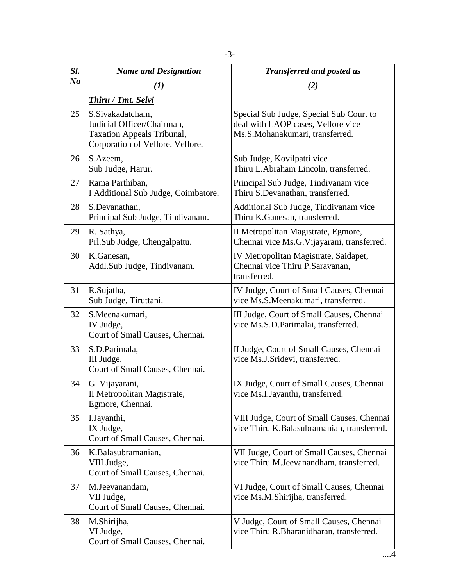| Sl.            | <b>Name and Designation</b>                                                                                             | <b>Transferred and posted as</b>                                                                                 |
|----------------|-------------------------------------------------------------------------------------------------------------------------|------------------------------------------------------------------------------------------------------------------|
| N <sub>o</sub> | $\boldsymbol{(I)}$                                                                                                      | (2)                                                                                                              |
|                | <b>Thiru / Tmt. Selvi</b>                                                                                               |                                                                                                                  |
| 25             | S.Sivakadatcham,<br>Judicial Officer/Chairman,<br><b>Taxation Appeals Tribunal,</b><br>Corporation of Vellore, Vellore. | Special Sub Judge, Special Sub Court to<br>deal with LAOP cases, Vellore vice<br>Ms.S.Mohanakumari, transferred. |
| 26             | S.Azeem,<br>Sub Judge, Harur.                                                                                           | Sub Judge, Kovilpatti vice<br>Thiru L.Abraham Lincoln, transferred.                                              |
| 27             | Rama Parthiban,<br>I Additional Sub Judge, Coimbatore.                                                                  | Principal Sub Judge, Tindivanam vice<br>Thiru S.Devanathan, transferred.                                         |
| 28             | S.Devanathan,<br>Principal Sub Judge, Tindivanam.                                                                       | Additional Sub Judge, Tindivanam vice<br>Thiru K.Ganesan, transferred.                                           |
| 29             | R. Sathya,<br>Prl.Sub Judge, Chengalpattu.                                                                              | II Metropolitan Magistrate, Egmore,<br>Chennai vice Ms.G. Vijayarani, transferred.                               |
| 30             | K.Ganesan,<br>Addl.Sub Judge, Tindivanam.                                                                               | IV Metropolitan Magistrate, Saidapet,<br>Chennai vice Thiru P.Saravanan,<br>transferred.                         |
| 31             | R.Sujatha,<br>Sub Judge, Tiruttani.                                                                                     | IV Judge, Court of Small Causes, Chennai<br>vice Ms.S.Meenakumari, transferred.                                  |
| 32             | S.Meenakumari,<br>IV Judge,<br>Court of Small Causes, Chennai.                                                          | III Judge, Court of Small Causes, Chennai<br>vice Ms.S.D.Parimalai, transferred.                                 |
| 33             | S.D.Parimala,<br>III Judge,<br>Court of Small Causes, Chennai.                                                          | II Judge, Court of Small Causes, Chennai<br>vice Ms.J.Sridevi, transferred.                                      |
| 34             | G. Vijayarani,<br>II Metropolitan Magistrate,<br>Egmore, Chennai.                                                       | IX Judge, Court of Small Causes, Chennai<br>vice Ms.I.Jayanthi, transferred.                                     |
| 35             | I.Jayanthi,<br>IX Judge,<br>Court of Small Causes, Chennai.                                                             | VIII Judge, Court of Small Causes, Chennai<br>vice Thiru K.Balasubramanian, transferred.                         |
| 36             | K.Balasubramanian,<br>VIII Judge,<br>Court of Small Causes, Chennai.                                                    | VII Judge, Court of Small Causes, Chennai<br>vice Thiru M.Jeevanandham, transferred.                             |
| 37             | M.Jeevanandam,<br>VII Judge,<br>Court of Small Causes, Chennai.                                                         | VI Judge, Court of Small Causes, Chennai<br>vice Ms.M.Shirijha, transferred.                                     |
| 38             | M.Shirijha,<br>VI Judge,<br>Court of Small Causes, Chennai.                                                             | V Judge, Court of Small Causes, Chennai<br>vice Thiru R.Bharanidharan, transferred.                              |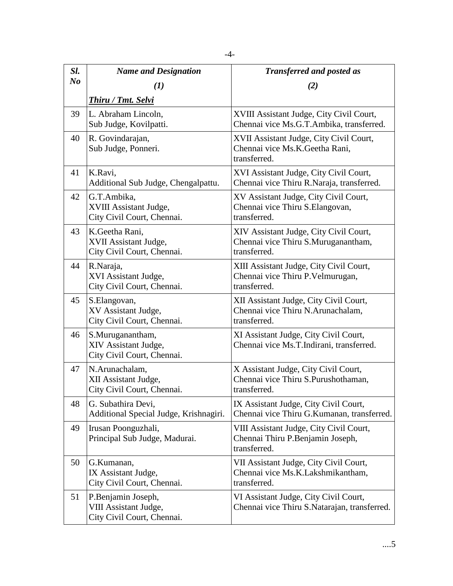| Sl.            | <b>Name and Designation</b>                                               | <b>Transferred and posted as</b>                                                              |
|----------------|---------------------------------------------------------------------------|-----------------------------------------------------------------------------------------------|
| N <sub>o</sub> | $\bf(1)$                                                                  | (2)                                                                                           |
|                | <b>Thiru / Tmt. Selvi</b>                                                 |                                                                                               |
| 39             | L. Abraham Lincoln,<br>Sub Judge, Kovilpatti.                             | XVIII Assistant Judge, City Civil Court,<br>Chennai vice Ms.G.T.Ambika, transferred.          |
| 40             | R. Govindarajan,<br>Sub Judge, Ponneri.                                   | XVII Assistant Judge, City Civil Court,<br>Chennai vice Ms.K.Geetha Rani,<br>transferred.     |
| 41             | K.Ravi,<br>Additional Sub Judge, Chengalpattu.                            | XVI Assistant Judge, City Civil Court,<br>Chennai vice Thiru R.Naraja, transferred.           |
| 42             | G.T.Ambika,<br>XVIII Assistant Judge,<br>City Civil Court, Chennai.       | XV Assistant Judge, City Civil Court,<br>Chennai vice Thiru S.Elangovan,<br>transferred.      |
| 43             | K.Geetha Rani,<br>XVII Assistant Judge,<br>City Civil Court, Chennai.     | XIV Assistant Judge, City Civil Court,<br>Chennai vice Thiru S.Muruganantham,<br>transferred. |
| 44             | R.Naraja,<br>XVI Assistant Judge,<br>City Civil Court, Chennai.           | XIII Assistant Judge, City Civil Court,<br>Chennai vice Thiru P.Velmurugan,<br>transferred.   |
| 45             | S.Elangovan,<br>XV Assistant Judge,<br>City Civil Court, Chennai.         | XII Assistant Judge, City Civil Court,<br>Chennai vice Thiru N.Arunachalam,<br>transferred.   |
| 46             | S.Muruganantham,<br>XIV Assistant Judge,<br>City Civil Court, Chennai.    | XI Assistant Judge, City Civil Court,<br>Chennai vice Ms.T.Indirani, transferred.             |
| 47             | N.Arunachalam,<br>XII Assistant Judge,<br>City Civil Court, Chennai.      | X Assistant Judge, City Civil Court,<br>Chennai vice Thiru S.Purushothaman,<br>transferred.   |
| 48             | G. Subathira Devi,<br>Additional Special Judge, Krishnagiri.              | IX Assistant Judge, City Civil Court,<br>Chennai vice Thiru G.Kumanan, transferred.           |
| 49             | Irusan Poonguzhali,<br>Principal Sub Judge, Madurai.                      | VIII Assistant Judge, City Civil Court,<br>Chennai Thiru P.Benjamin Joseph,<br>transferred.   |
| 50             | G.Kumanan,<br>IX Assistant Judge,<br>City Civil Court, Chennai.           | VII Assistant Judge, City Civil Court,<br>Chennai vice Ms.K.Lakshmikantham,<br>transferred.   |
| 51             | P.Benjamin Joseph,<br>VIII Assistant Judge,<br>City Civil Court, Chennai. | VI Assistant Judge, City Civil Court,<br>Chennai vice Thiru S.Natarajan, transferred.         |